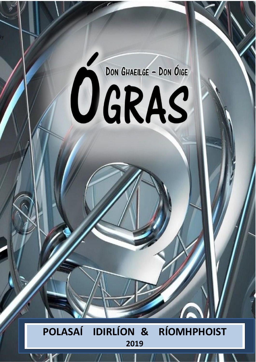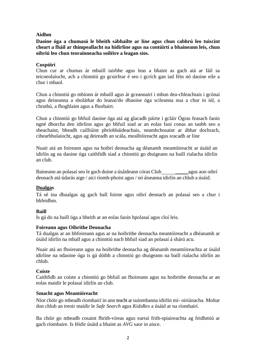# **Aidhm**

**Daoine óga a chumasú le bheith sábhailte ar líne agus chun cabhrú leo tuiscint cheart a fháil ar thimpeallacht na hidirlíne agus na contúirtí a bhaineann leis, chun oibriú leo chun teorainneacha soiléire a leagan síos.**

### **Cuspóirí**

Chun cur ar chumas ár mbaill tairbhe agus leas a bhaint as gach atá ar fáil sa teicneolaíocht, ach a chinntiú go gcuirfear é seo i gcrích gan iad féin nó daoine eile a chur i mbaol.

Chun a chinntiú go mbíonn ár mbaill agus ár gceannairí i mbun dea-chleachtais i gcónaí agus deiseanna a sholáthar do leanaí/do dhaoine óga scileanna nua a chur in iúl, a chruthú, a fhoghlaim agus a fhorbairt.

Chun a chinntiú go bhfuil daoine óga atá ag glacadh páirte i gcláir Ógras feasach faoin ngné dhorcha den idirlíon agus go bhfuil siad ar an eolas faoi conas an taobh seo a sheachaint, bheadh cailliúint phríobháideachais, neamhchosaint ar ábhar dochrach, cibearbhulaíocht, agus ag deireadh an scála, mealltóireacht agus sracadh ar líne

Nuair atá an foireann agus na hoibrí deonacha ag déanamh meantóireacht ar úsáid an idirlín ag na daoine óga caithfidh siad a chinntiú go dtuigeann na baill rialacha idirlín an club.

Baineann an polasaí seo le gach duine a úsáideann córas Club agus aon oibrí deonach atá údarás aige / aici ríomh-phoist agus / nó áiseanna idirlín an chlub a úsáid.

#### **Dualgas**

Tá sé ina dhualgas ag gach ball foirne agus oibrí deonach an polasaí seo a chur i bhfeidhm.

#### **Baill**

Is gá do na baill óga a bheith ar an eolas faoin bpolasaí agus cloí leis.

#### **Foireann agus Oibrithe Deonacha**

Tá dualgas ar an bhfoireann agus ar na hoibrithe deonacha meantóireacht a dhéanamh ar úsáid idirlín na mball agus a chinntiú nach bhfuil siad an polasaí á shárú acu.

Nuair atá an fhoireann agus na hoibrithe deonacha ag déanamh meantóireachta ar úsáid idirlíne na ndaoine óga is gá dóibh a chinntiú go dtuigeann na baill rialacha idirlín an chlub.

#### **Coiste**

Caithfidh an coiste a chinntiú go bhfuil an fhoireann agus na hoibrithe deonacha ar an eolas maidir le polasaí idirlín an club.

#### **Smacht agus Meantóireacht**

Níor chóir go mbeadh ríomhairí in ann teacht arsuíomhanna idirlín mí- oiriúnacha. Moltar don chlub an treoir maidir le *Safe Search* agus *KidsRex* a úsáid ar na ríomhairí.

Ba chóir go mbeadh cosaint fhrith-víreas agus earraí frith-spiaireachta ag feidhmiú ar gach ríomhaire. Is féidir úsáid a bhaint as *AVG* saor in aisce.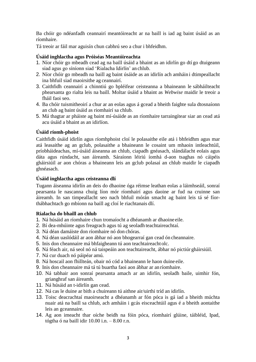Ba chóir go ndéanfadh ceannairí meantóireacht ar na baill is iad ag baint úsáid as an ríomhaire.

Tá treoir ar fáil mar aguisín chun cabhrú seo a chur i bhfeidhm.

# **Úsáid inghlactha agus Próiséas Meantóireachta**

- 1. Níor chóir go mbeadh cead ag na baill úsáid a bhaint as an idirlín go dtí go dtuigeann siad agus go síníonn siad 'Rialacha Idirlín' an chlub.
- 2. Níor chóir go mbeadh na baill ag baint úsáide as an idirlín ach amháin i dtimpeallacht ina bhfuil siad maoirsithe ag ceannairí.
- 3. Caithfidh ceannairí a chinntiú go bpléifear ceisteanna a bhaineann le sábháilteacht phearsanta go rialta leis na baill. Moltar úsáid a bhaint as *Webwise* maidir le treoir a fháil faoi seo.
- 4. Ba chóir tuismitheoirí a chur ar an eolas agus á gcead a bheith faighte sula dtosnaíonn an club ag baint úsáid as riomhairí sa chlub.
- 5. Má thagtar ar pháiste ag baint mí-úsáide as an ríomhaire tarraingítear siar an cead atá acu úsáid a bhaint as an idirlíon.

### **Úsáid ríomh-phoist**

Caithfidh úsáid idirlín agus ríomhphoist cloí le polasaithe eile atá i bhfeidhm agus mar atá leasaithe ag an gclub, polasaithe a bhaineann le cosaint um mhaoin intleachtúil, príobháideachas, mí-úsáid áiseanna an chlub, ciapadh gnéasach, slándálacht eolais agus dáta agus rúndacht, san áireamh. Sáraíonn léiriú íomhá d-aon tsaghas nó cáipéis gháirsiúil ar aon chóras a bhaineann leis an gclub polasaí an chlub maidir le ciapadh ghnéasach.

### **Úsáid inghlactha agus ceisteanna dlí**

Tugann áiseanna idirlín an deis do dhaoine óga réimse leathan eolas a láimhseáil, sonraí pearsanta le nascanna chuig líon mór ríomhairí agus daoine ar fud na cruinne san áireamh. In san timpeallacht seo nach bhfuil mórán smacht ag baint leis tá sé fíorthábhachtach go mbíonn na baill ag cloí le riachtanais dlí.

#### **Rialacha do bhaill an chlub**

- 1. Ná húsáid an ríomhaire chun tromaíocht a dhéanamh ar dhaoine eile.
- 2. Bí dea-mhúinte agus freagrach agus tú ag seoladh teachtaireachtaí.
- 3. Ná déan damáiste don ríomhaire nó don chóras.
- 4. Ná déan uaslódáil ar aon ábhar nó aon bhogearraí gan cead ón cheannaire.
- 5. Inis don cheannaire má bhfaigheann tú aon teachtaireacht olc.
- 6. Ná féach air, ná seol nó ná taispeáin aon teachtaireacht, ábhar nó pictiúr gháirsiúil.
- 7. Ná cur duach nó páipéar amú.
- 8. Ná hoscail aon fhillteán, obair nó cód a bhaineann le haon duine eile.
- 9. Inis don cheannaire má tá tú buartha faoi aon ábhar ar an ríomhaire.
- 10. Ná tabhair aon sonraí pearsanta amach ar an idirlín, seoladh baile, uimhir fón, grianghraf san áireamh.
- 11. Ná húsáid an t-idirlín gan cead.
- 12. Ná cas le duine ar bith a chuireann tú aithne air/uirthi tríd an idirlín.
- 13. Toisc deacrachtaí maoirseacht a dhéanamh ar fón póca is gá iad a bheith múchta nuair atá na baill sa chlub, ach amháin i gcás eisceachtúil agus é a bheith aontaithe leis an gceannaire.
- 14. Ag aon imeacht thar oíche beidh na fóin póca, ríomhairí glúine, táibléid, Ipad, tógtha ó na baill idir 10.00 i.n. – 8.00 r.n.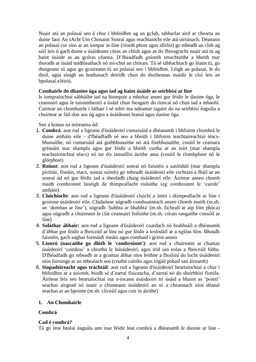Nuair atá an polasaí seo á chur i bhfeidhm ag an gclub, tabharfar aird ar chearta an duine faoi An tAcht Um Chosaint Sonraí agus reachtaíocht eile atá oiriúnach. Déanann an polasaí cur síos ar an iompar ar-líne (ríomh phost agus idirlín) go mbeadh an club ag súil leis ó gach duine a úsáideann córas an chlub agus as do fhreagracht nuair atá tú ag baint úsáide as an gcóras céanna. D'fhéadfadh gníomh smachtaithe a bheith mar thoradh ar úsáid mídhleathach nó mí-chuí an chórais. Tá sé tábhachtach go léann tú, go dtuigeann tú agus go gcuireann tú an polasaí seo i bhfeidhm. Léigh an polasaí, le do thoil, agus sínigh an leathanach deiridh chun do thoilteanas maidir le cloí leis an bpolasaí aléiriú.

### **Comhairle do dhaoine óga agus iad ag baint úsáide as seirbhísí ar líne**

Is iompraíochtaí sábháilte iad na hiompair a mholtar anseo gur féidir le daoine óga, le ceannairí agus le tuismitheoirí a úsáid chun freagairt do rioscaí nó chun iad a mhaolú. Cuirtear an chomhairle i láthair i sé mhír ina ndéantar tagairt do na seirbhísí éagsúla a chuirtear ar fáil don aos óg agus a úsáideann leanaí agus daoine óga.

Seo a leanas na míreanna úd:

- 1. **Comhrá**: aon rud a ligeann d'úsáideoirí cumarsáid a dhéanamh i bhfoirm chomhrá le duine amháin eile - d'fhéadfadh sé seo a bheith i bhfoirm teachtaireachtaí téacsbhunaithe, nó cumarsáid atá guthbhunaithe nó atá físebhunaithe, cosúil le ceamara gréasáin mar shampla agus gur féidir a bheith curtha ar an toirt (mar shampla teachtaireachtaí téacs) nó tar éis tamaillín áirithe ama (cosúil le ríomhphost nó le glórphost)
- 2. **Roinnt**: aon rud a ligeann d'úsáideoirí sonraí nó faisnéis a uaslódáil (mar shampla pictiúir, físeáin, téacs, sonraí suímh) go mbeadh úsáideoirí eile rochtain a fháil ar an sonraí úd nó gur féidir iad a sheoladh chuig úsáideoirí eile. Áirítear anseo chomh maith comhroinnt laistigh de thimpeallacht rialaithe (eg comhroinnt le 'cairde' amháin)
- 3. **Cluichíocht**: aon rud a ligeann d'úsáideoirí cluichí a imirt i dtimpeallacht ar líne i gcoinne úsáideoirí eile. Clúdaítear súgradh comhuaineach anseo chomh maith (m.sh. an 'domhan ar líne'), súgradh 'babhta ar bhabhta' (m.sh. ficheall ar aip fóin phóca) agus súgradh a chuireann le clár ceannairí foilsithe (m.sh. córais rangaithe consóil ar líne)
- 4. **Soláthar ábhair:** aon rud a ligeann d'úsáideoirí cuardach nó brabhsáil a dhéanamh d'ábhar gur féidir a fheiceáil ar líne nó gur féidir a íoslódáil ar a ngléas féin. Bheadh faisnéis, gach saghas formáidí meáin agus comhaid i gceist anseo
- 5. **Líonrú (nascaithe go dlúth le 'comhroinnt')**: aon rud a chuireann ar chumas úsáideoirí 'cairdeas' a chruthú le húsáideoirí, agus tríd san eolas a fheiceáil fúthu. D'fhéadfadh go mbeadh ar a gcumas ábhar níos leithne a fhoilsiú do lucht úsáideoirí níos fairsinge ar an mbealach seo (cruthú cairdis agus tógáil pobail san áireamh)
- 6. **Siopadóireacht agus tráchtáil**: aon rud a ligeann d'úsáideoirí beartaíochtaí a chur i bhfeidhm ar a suíomh, bíodh sé d'earraí fisiceacha, d'earraí nó do sheirbhísí fíorúla. Áirítear leis seo beartaíochtaí ina n-íocann úsáideoirí trí úsáid a bhaint as 'pointí' seachas airgead nó nuair a chinneann úsáideoirí an ní a cheannach níos déanaí seachas ar an bpointe (m.sh. cliceáil agus cuir in áirithe)

# **1. An Chomhairle**

# **Comhrá**

# **Cad é comhrá?**

Tá go leor bealaí éagsúla ann inar féidir leat comhrá a dhéanamh le daoine ar líne -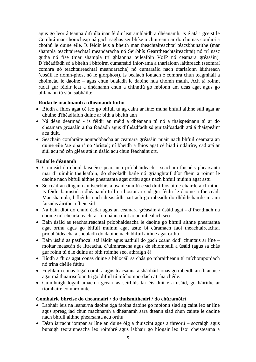agus go leor áiteanna difriúla inar féidir leat amhlaidh a dhéanamh. Is é atá i gceist le Comhrá mar choincheap ná gach saghas seirbhíse a chuireann ar do chumas comhrá a chothú le duine eile. Is féidir leis a bheith mar theachtaireachtaí téacsbhunaithe (mar shampla teachtaireachtaí meandaracha nó Seirbhís Gearrtheachtaireachtaí) nó trí nasc gutha nó físe (mar shampla trí ghlaonna teileafóin VoIP nó ceamara gréasáin). D'fhéadfadh sé a bheith i bhfoirm cumarsáid fhíor-ama a tharlaíonn láithreach (seomraí comhrá nó teachtaireachtaí meandaracha) nó cumarsáid nach dtarlaíonn láithreach (cosúil le ríomh-phost nó le glórphost). Is bealach iontach é comhrá chun teagmháil a choimeád le daoine – agus chun bualadh le daoine nua chomh maith. Ach tá roinnt rudaí gur féidir leat a dhéanamh chun a chinntiú go mbíonn am deas agat agus go bhfanann tú slán sábháilte.

### **Rudaí le machnamh a dhéanamh futhú**

- Bíodh a fhios agat cé leo go bhfuil tú ag caint ar líne; muna bhfuil aithne súil agat ar dhuine d'fhéadfaidh duine ar bith a bheith ann
- Ná déan dearmad is féidir an méid a dhéanann tú nó a thaispeánann tú ar do cheamara gréasáin a thaifeadadh agus d'fhéadfadh sé gur taifeadadh atá á thaispeáint acu duit.
- Seachain comhráite aontaobhacha ar ceamara gréasáin nuair nach bhfuil ceamara an duine eile 'ag obair' nó 'briste'; ní bheidh a fhios agat cé hiad i ndáiríre, cad atá ar siúl acu nó cén gléas atá in úsáid acu chun féachaint ort.

### **Rudaí le déanamh**

- Coimeád do chuid faisnéise pearsanta príobháideach seachain faisnéis phearsanta mar d' uimhir theileafóin, do sheoladh baile nó grianghraif díot fhéin a roinnt le daoine nach bhfuil aithne phearsanta agat orthu agus nach bhfuil muinín agat astu
- Seiceáil an dtugann an tseirbhís a úsáideann tú cead duit liostaí de chairde a chruthú. Is féidir bainistiú a dhéanamh tríd na liostaí ar cad gur féidir le daoine a fheiceáil. Mar shampla, b'fhéidir nach dteastódh uait ach go mbeadh do dhlúthchairde in ann faisnéis áirithe a fheiceáil
- Ná bain díot do chuid éadaí agus an ceamara gréasáin á úsáid agat d'fhéadfadh na daoine mí-chearta teacht ar íomhánna díot ar an mbealach seo
- Bain úsáid as teachtaireachtaí príobháideacha le daoine go bhfuil aithne phearsanta agat orthu agus go bhfuil muinín agat astu; bí cúramach faoi theachtaireachtaí príobháideacha a sheoladh do daoine nach bhfuil aithne agat orthu
- Bain úsáid as pasfhocal atá láidir agus uathúil do gach ceann dod' chuntais ar líne moltar meascán de litreacha, d'uimhreacha agus de shiombailí a úsáid (agus sa chás gur roinn tú é le duine ar bith roimhe seo, athraigh é)
- Bíodh a fhios agat conas duine a bhlocáil sa chás go mbraitheann tú míchompordach nó trína chéile fúthu
- Foghlaim conas logaí comhrá agus téacsanna a shábháil ionas go mbeidh an fhianaise agat má thuairiscíonn tú go bhfuil tú míchompordach / trína chéile.
- Cuimhnigh logáil amach i gceart as seirbhís tar éis duit é a úsáid, go háirithe ar ríomhaire comhroinnte

#### **Comhairle bhreise do cheannairí / do thuismitheoirí / do chúramóirí**

- Labhair leis na leanaí/na daoine óga faoina daoine go mbíonn siad ag caint leo ar líne agus spreag iad chun machnamh a dhéanamh sara dtéann siad chun cainte le daoine nach bhfuil aithne phearsanta acu orthu
- Déan iarracht iompar ar líne an duine óig a thuiscint agus a threorú socraigh agus bunaigh teorainneacha leo roimhré agus labhair go híogair leo faoi cheisteanna a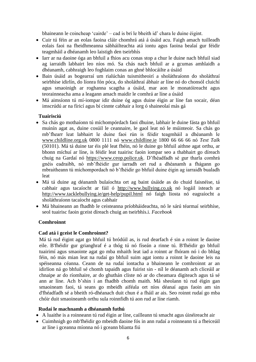bhaineann le coincheap 'cairde' – cad is brí le bheith id' chara le duine éigint.

- Cuir tú féin ar an eolas faoina cláir chomhrá atá á úsáid acu. Faigh amach tuilleadh eolais faoi na fheidhmeanna sábháilteachta atá iontu agus faoina bealaí gur féidir teagmháil a dhéanamh leo laistigh den tseirbhís
- Iarr ar na daoine óga an bhfuil a fhios acu conas stop a chur le duine nach bhfuil siad ag iarraidh labhairt leo níos mó. Sa chás nach bhfuil ar a gcumas amhlaidh a dhéanamh, cabhraigh leo foghlaim conas an ghné bhlocáilte a úsáid
- Bain úsáid as bogearraí um rialúchán tuismitheoirí a sholáthraíonn do sholáthraí seirbhíse idirlín, do líonra fón póca, do sholáthraí ábhair ar líne nó do chonsól cluichí agus smaoinigh ar roghanna scagtha a úsáid, mar aon le monatóireacht agus teorainneacha ama a leagann amach maidir le comhrá ar líne a úsáid
- Má aimsíonn tú mí-iompar idir duine óg agus duine éigin ar líne fan socair, déan imscrúdú ar na fíricí agus bí cinnte cabhair a lorg ó shaineolaí más gá

# **Tuairisciú**

- Sa chás go mothaíonn tú míchompórdach faoi dhuine, labhair le duine fásta go bhfuil muinín agat as, duine cosúil le ceannaire, le gaol leat nó le múinteoir. Sa chás go mb'fhearr leat labhairt le duine faoi rún is féidir teagmháil a dhéanamh le www.childline.org.uk 0800 1111 nó www.childline.ie 1800 66 66 66 nó *Text Talk* (50101). Má tá duine tar éis plé leat fhéin, nó le duine go bhfuil aithne agat orthu, ar bhonn míchuí ar líne, is féidir leat tuairisc faoin iompar seo a thabhairt go díreach chuig na Gardaí nó https://www.ceop.police.uk. D'fhéadfadh sé gur tharla comhrá gnéis eadraibh, nó mb'fhéidir gur iarradh ort rud a dhéanamh a fhágann go mbraitheann tú míchompordach nó b'fhéidir go bhfuil duine éigin ag iarraidh bualadh leat
- Má tá duine ag déanamh bulaíochta ort ag baint úsáide as do chuid faisnéise, tá cabhair agus tacaíocht ar fáil ó [http://www.bullying.co.uk](http://www.bullying.co.uk/) nó logáil isteach ar <http://www.tacklebullying.ie/get-help/pupil.html> nó faigh liosta nó eagraíocht a sholáthraíonn tacaíocht agus cabhair
- Má bhaineann an fhadhb le ceisteanna príobháideachta, nó le sárú téarmaí seirbhíse, seol tuairisc faoin gceist díreach chuig an tseirbhís.i. *Facebook*

# **Comhroinnt**

# **Cad atá i gceist le Comhroinnt?**

Má tá rud éigint agat go bhfuil tú bródúil as, is rud dearfach é sin a roinnt le daoine eile. B'fhéidir gur grianghraf é a thóg tú nó físeán a rinne tú. B'fhéidir go bhfuil tuairimí agus smaointe agat go mba mhaith leat iad a roinnt ar fhóram nó i do bhlag féin, nó más mian leat na rudaí go bhfuil suim agat iontu a roinnt le daoine leis na spéiseanna céanna. Ceann de na rudaí iontacha a bhaineann le comhroinnt ar an idirlíon ná go bhfuil sé chomh tapaidh agus fuirist sin - níl le déanamh ach cliceáil ar chnaipe ar do ríomhaire, ar do ghuthán cliste nó ar do cheamara digiteach agus tá sé ann ar líne. Ach b'shin í an fhadhb chomh maith. Má sheolann tú rud éigin gan smaoineam faoi, tá seans go mbeidh aiféala ort níos déanaí agus faoin am sin d'fhéadfadh sé a bheith ró-dhéanach duit chun é a fháil ar ais. Seo roinnt rudaí go mba chóir duit smaoineamh orthu sula roinnfidh tú aon rud ar líne riamh.

#### **Rudaí le machnamh a dhéanamh futhú**

- A luaithe is a roinneann tú rud éigin ar líne, cailleann tú smacht agus úinéireacht air
- Cuimhnigh go mb'fhéidir go mbeidh daoine fós in ann rudaí a roinneann tú a fheiceáil ar líne i gceanna míonna nó i gceann blianta fiú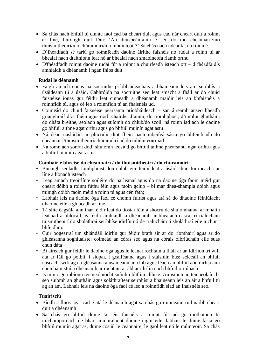- Sa chás nach bhfuil tú cinnte faoi cad ba cheart duit agus cad nár cheart duit a roinnt ar líne, fiafraigh duit féin: 'An dtaispeánfainn é seo do mo cheannairí/mo thuismitheoirí/mo chúramóirí/mo mhúinteoir?' Sa chás nach ndéanfá, ná roinn é.
- D'fhéadfadh sé tarlú go roinnfeadh daoine áirithe faisnéis nó rudaí a roinn tú ar bhealaí nach dtaitníonn leat nó ar bhealaí nach smaoineofá riamh orthu
- D'fhéadfadh roinnt daoine rudaí fút a roinnt a chuirfeadh isteach ort d'fhéadfaidís amhlaidh a dhéanamh i ngan fhios duit

# **Rudaí le déanamh**

- Faigh amach conas na socruithe príobháideachais a bhaineann leis an tseirbhís a úsáideann tú a úsáid. Cabhróidh na socruithe seo leat smacht a fháil ar do chuid faisnéise ionas gur féidir leat cinneadh a dhéanamh maidir leis an bhfaisnéis a roinnfidh tú, agus cé leo a roinnfidh tú an fhaisnéis úd.
- Coimeád do chuid faisnéise pearsanta príobháideach san áireamh anseo bheadh grianghraif díot fhéin agus dod' chairde, d'ainm, do ríomhphost, d'uimhir ghutháin, do dháta breithe, seoladh agus suíomh do chlub/do scoil, ná roinn iad ach le daoine go bhfuil aithne agat orthu agus go bhfuil muinín agat astu
- Ná déan uaslódáil ar phictiúir díot fhéin nach mbeifeá sásta go bhfeicfeadh do cheannairí/thuismitheoirí/chúramóirí nó do mhúinteoirí iad
- Ná roinn ach sonraí dod' shuíomh leosiúd go bhfuil aithne phearsanta agat orthu agus a bhfuil muinín agat astu

# **Comhairle bhreise do cheannairí / do thuismitheoirí / do chúramóirí**

- Bunaigh seoladh ríomhphoist don chlub gur féidir leat a úsáid chun foirmeacha ar líne a líonadh isteach
- Leag amach treoirlínte soiléire do na leanaí agus do na daoine óga faoin méid gur cheart dóibh a roinnt fúthu féin agus faoin gclub – bí mar dhea-shampla dóibh agus mínigh dóibh faoin méid a roinn tú agus cén fáth;
- Labhair leis na daoine óga faoi cé chomh fuirist agus atá sé do dhaoine féiniúlacht dhaoine eile a ghlacadh ar líne
- Tá slite éagsúla ann inar féidir leat do liostaí féin a shocrú de shuíomhanna ar mhaith leat iad a bhlocáil, is féidir amhlaidh a dhéanamh ar bhealach éasca trí rialúcháin tuismitheoirí do sholáthraí seirbhíse idirlín nó de rialúcháin ó sholáthraí eile a chur i bhfeidhm.
- Cuir bogearraí um shlándáil idirlín gur féidir brath air ar do ríomhairí agus ar do ghléasanna soghluaiste; coimeád an córas seo agus na córais oibriúcháin eile suas chun dáta
- Bí aireach gur féidir le daoine óga agus le leanaí rochtain a fháil ar an idirlíon trí wifi atá ar fáil go poiblí, i siopaí, i gcaiféanna agus i stáisiúin bus; seiceáil an bhfuil nascacht wifi ag na gléasanna a úsáideann an club agus féach an bhfuil aon uirlisí ann chun bainistiú a dhéanamh ar rochtain ar ábhar idirlín nach bhfuil oiriúnach
- Is minic go mbíonn teicneolaíocht suímh i bhfóin chliste. Aimsíonn an teicneolaíocht seo suíomh an ghutháin agus soláthraítear seirbhísí a bhaineann leis an áit a bhfuil tú ag an am. Labhair leis na daoine óga faoi cé leo a roinnfidh siad an fhaisnéis seo.

# **Tuairisciú**

- Bíodh a fhios agat cad é atá le déanamh agat sa chás go roinneann rud nárbh cheart duit a dhéanamh
- Sa chás go bhfuil duine tar éis faisnéis a roinnt fút nó go mothaíonn tú míchompordach de bharr iompraíocht dhuine éigin eile, labhair le duine fásta go bhfuil muinín agat as, duine cosúil le ceannaire, le gaol leat nó le múinteoir. Sa chás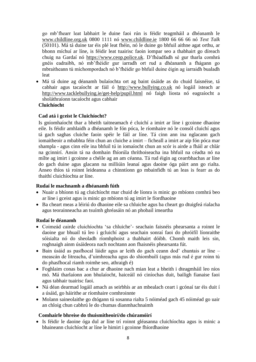go mb'fhearr leat labhairt le duine faoi rún is féidir teagmháil a dhéanamh le www.childline.org.uk 0800 1111 nó www.childline.ie 1800 66 66 66 nó *Text Talk* (50101). Má tá duine tar éis plé leat fhéin, nó le duine go bhfuil aithne agat orthu, ar bhonn míchuí ar líne, is féidir leat tuairisc faoin iompar seo a thabhairt go díreach chuig na Gardaí nó https://www.ceop.police.uk. D'fhéadfadh sé gur tharla comhrá gnéis eadraibh, nó mb'fhéidir gur iarradh ort rud a dhéanamh a fhágann go mbraitheann tú míchompordach nó b'fhéidir go bhfuil duine éigin ag iarraidh bualadh leat

 Má tá duine ag déanamh bulaíochta ort ag baint úsáide as do chuid faisnéise, tá cabhair agus tacaíocht ar fáil ó [http://www.bullying.co.uk](http://www.bullying.co.uk/) nó logáil isteach ar <http://www.tacklebullying.ie/get-help/pupil.html> nó faigh liosta nó eagraíocht a sholáthraíonn tacaíocht agus cabhair

#### **Cluichíocht**

# **Cad atá i gceist le Cluichíocht?**

Is gníomhaíocht thar a bheith taitneamach é cluichí a imirt ar líne i gcoinne dhaoine eile. Is féidir amhlaidh a dhéanamh le fón póca, le ríomhaire nó le consól cluichí agus tá gach saghas cluiche faoin spéir le fáil ar líne. Tá cinn ann ina nglacann gach iomaitheoir a mbabhta féin chun an cluiche a imirt – ficheall a imirt ar aip fón póca mar shampla - agus cinn eile ina bhfuil tú in iomaíocht chun an scór is airde a fháil ar chlár na gcinnirí. Ansin tá na domhain fhíorúla thríthoiseacha ina bhfuil na céadta nó na mílte ag imirt i gcoinne a chéile ag an am céanna. Tá rud éigin ag cearrbhachas ar líne do gach duine agus glacann na milliúin leanaí agus daoine óga páirt ann go rialta. Anseo thíos tá roinnt leideanna a chinntíonn go mbainfidh tú an leas is fearr as do thaithí cluichíochta ar líne.

# **Rudaí le machnamh a dhéanamh fúth**

- Nuair a bhíonn tú ag cluichíocht mar chuid de líonra is minic go mbíonn comhrá beo ar líne i gceist agus is minic go mbíonn tú ag imirt le fíordhaoine
- Ba cheart meas a léiriú do dhaoine eile sa chluiche agus ba cheart go dtuigfeá rialacha agus teorainneacha an tsuímh ghréasáin nó an phobail imeartha

#### **Rudaí le déanamh**

- Coimeád cairde cluichíochta 'sa chluiche'- seachain faisnéis phearsanta a roinnt le daoine gur bhuail tú leo i gcluichí agus seachain sonraí faoi do phróifíl líonraithe sóisialta nó do sheoladh ríomhphoist a thabhairt dóibh. Chomh maith leis sin, roghnaigh ainm úsáideora nach nochtann aon fhaisnéis phearsanta fút.
- Bain úsáid as pasfhocal láidir agus ar leith do gach ceann dod' chuntais ar líne meascán de litreacha, d'uimhreacha agus do shiombailí (agus más rud é gur roinn tú do phasfhocal riamh roimhe seo, athraigh é)
- Foghlaim conas bac a chur ar dhaoine nach mian leat a bheith i dteagmháil leo níos mó. Má tharlaíonn aon bhulaíocht, haiceáil nó ciníochas duit, bailigh fianaise faoi agus tabhair tuairisc faoi.
- Ná déan dearmad logáil amach as seirbhís ar an mbealach ceart i gcónaí tar éis duit í a úsáid, go háirithe ar ríomhaire comhroinnte
- Molann saineolaithe go dtógann tú sosanna rialta 5 nóiméad gach 45 nóiméad go uair an chloig chun cabhrú le do chumas dianmhachnaimh

#### **Comhairle bhreise do thuismitheoirí/do chúramóirí**

 Is féidir le daoine óga dul ar líne trí roinnt gléasanna cluichíochta agus is minic a bhaineann cluichíocht ar líne le himirt i gcoinne fhíordhaoine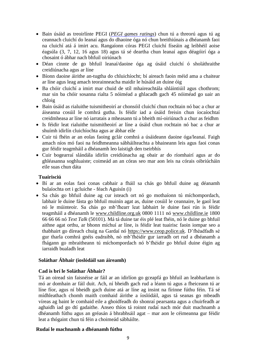- Bain úsáid as treoirlínte PEGI (*[PEGI games ratings](http://www.pegi.info/)*) chun tú a threorú agus tú ag ceannach cluichí do leanaí agus do dhaoine óga nó chun breithiúnais a dhéanamh faoi na cluichí atá á imirt acu. Rangaíonn córas PEGI cluichí físeáin ag leibhéil aoise éagsúla (3, 7, 12, 16 agus 18) agus tá sé deartha chun leanaí agus déagóirí óga a chosaint ó ábhar nach bhfuil oiriúnach
- Déan cinnte de go bhfuil leanaí/daoine óga ag úsáid cluichí ó sholáthraithe creidiúnacha agus ar líne
- Bíonn daoine áirithe an-tugtha do chluichíocht; bí aireach faoin méid ama a chaitear ar líne agus leag amach teorainneacha maidir le húsáid an duine óig
- Ba chóir cluichí a imirt mar chuid de stíl mhaireachtála shláintiúil agus chothrom; mar sin ba chóir sosanna rialta 5 nóiméad a ghlacadh gach 45 nóiméad go uair an chloig
- Bain úsáid as rialuithe tuismitheoirí ar chonsóil cluichí chun rochtain nó bac a chur ar áiseanna cosúil le comhrá gutha. Is féidir iad a úsáid freisin chun íocaíochtaí creidmheasa ar líne nó iarratais a mheasann tú a bheith mí-oiriúnach a chur as feidhm
- Is féidir leat rialuithe tuismitheoirí ar líne a úsáid chun rochtain nó bac a chur ar shuímh idirlín cluichíochta agus ar ábhar eile
- Cuir tú fhéin ar an eolas faoing gclár comhrá a úsáideann daoine óga/leanaí. Faigh amach níos mó faoi na feidhmeanna sábháilteachta a bhaineann leis agus faoi conas gur féidir teagmháil a dhéanamh leo laistigh den tseirbhís
- Cuir bogearraí slándála idirlín creidiúnacha ag obair ar do ríomhairí agus ar do ghléasanna soghluaiste; coimeád an an córas seo mar aon leis na córais oibriúcháin eile suas chun dáta

# **Tuairisciú**

- Bí ar an eolas faoi conas cabhair a fháil sa chás go bhfuil duine ag déanamh bulaíochta ort i gcluiche - féach Aguisín (i)
- Sa chás go bhfuil duine ag cur isteach ort nó go mothaíonn tú míchompordach, labhair le duine fásta go bhfuil muinín agat as, duine cosúil le ceannaire, le gaol leat nó le múinteoir. Sa chás go mb'fhearr leat labhairt le duine faoi rún is féidir teagmháil a dhéanamh le www.childline.org.uk 0800 1111 nó www.childline.ie 1800 66 66 66 nó *Text Talk* (50101). Má tá duine tar éis plé leat fhéin, nó le duine go bhfuil aithne agat orthu, ar bhonn míchuí ar líne, is féidir leat tuairisc faoin iompar seo a thabhairt go díreach chuig na Gardaí nó https://www.ceop.police.uk. D'fhéadfadh sé gur tharla comhrá gnéis eadraibh, nó mb'fhéidir gur iarradh ort rud a dhéanamh a fhágann go mbraitheann tú míchompordach nó b'fhéidir go bhfuil duine éigin ag iarraidh bualadh leat

#### **Soláthar Ábhair (íoslódáil san áireamh)**

#### **Cad is brí le Soláthar Ábhair?**

Tá an oiread sin faisnéise ar fáil ar an idirlíon go gceapfá go bhfuil an leabharlann is mó ar domhain ar fáil duit. Ach, ní bheidh gach rud a léann tú agus a fheiceann tú ar líne fíor, agus ní bheidh gach duine atá ar líne ag insint na fírinne fúthu féin. Tá sé mídhleathach chomh maith comhaid áirithe a íoslódáil, agus tá seanas go mbeadh víreas ag baint le comhaid eile a ghoidfeadh do shonraí pearsanta agus a chuirfeadh ar aghaidh iad go dtí gadaithe. Anseo thíos tá roinnt rudaí nach mór duit machnamh a dhéanamh fúthu agus an gréasán á bhrabhsáil agat – mar aon le céimeanna gur féidir leat a thógaint chun tú féin a choimeád sábháilte.

#### **Rudaí le machnamh a dhéanamh fúthu**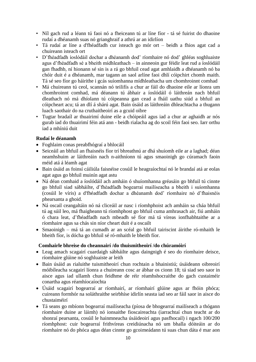- Níl gach rud a léann tú faoi nó a fheiceann tú ar líne fíor tá sé fuirist do dhaoine rudaí a dhéanamh suas nó grianghraif a athrú ar an idirlíon
- Tá rudaí ar líne a d'fhéadfadh cur isteach go mór ort beidh a fhios agat cad a chuireann isteach ort
- D'fhéadfadh íoslódáil dochar a dhéanamh dod' ríomhaire nó dod' ghléas soghluaiste agus d'fhéadfadh sé a bheith mídhleathach – in ainneoin gur féidir leat rud a íoslódáil gan fhadhb, ní hionann sé sin is a rá go bhfuil cead agat amhlaidh a dhéanamh nó ba chóir duit é a dhéanamh, mar tagann an saol arlíne faoi dhlí cóipchirt chomh maith. Tá sé seo fíor go háirithe i gcás suíomhanna mídhleathacha um chomhroinnt comhad
- Má chuireann tú ceol, scannán nó teilifís a chur ar fáil do dhaoine eile ar líonra um chomhroinnt comhad, má déanann tú ábhair a íoslódáil ó láithreán nach bhfuil dleathach nó má dhíolann tú cóipeanna gan cead a fháil uathu siúd a bhfuil an cóipcheart acu; tá an dlí á shárú agat. Bain úsáid as láithreáin dhleachtacha a thugann luach saothair do na cruthaitheoirí as a gcuid oibre
- Tugtar bradaíl ar thuairimí duine eile a chóipeáil agus iad a chur ar aghaidh ar nós gurab iad do thuairimí féin atá ann - beidh rialacha ag do scoil féin faoi seo. Iarr orthu iad a mhíniú duit

# **Rudaí le déanamh**

- Foghlaim conas preabfhógraí a bhlocáil
- Seiceáil an bhfuil an fhaisnéis fíor trí bhreathnú ar dhá shuíomh eile ar a laghad; déan neamhshuim ar láithreáin nach n-aithníonn tú agus smaoinigh go cúramach faoin méid atá á léamh agat
- Bain úsáid as foinsí cáiliúla faisnéise cosúil le heagraíochtaí nó le brandaí atá ar eolas agat agus go bhfuil muinín agat astu
- Ná déan comhaid a íoslódáil ach amháin ó shuíomhanna gréasáin go bhfuil tú cinnte go bhfuil siad sábháilte, d'fhéadfadh bogearraí mailíseacha a bheith i suíomhanna (cosúil le víris) a d'fhéadfadh dochar a dhéanamh dod' ríomhaire nó d'fhaisnéis phearsanta a ghoid.
- Ná oscail ceangaltáin nó ná cliceáil ar nasc i ríomhphoist ach amháin sa cháa bhfuil tú ag súil leo, má fhaigheann tú ríomhphost go bhfuil cuma amhrasach air, fiú amháin ó chara leat, d'fhéadfadh nach mbeadh sé fíor má tá víreas ionfhabhtaithe ar a ríomhaire agus sa chás sin níor cheart duit é a oscailt
- Smaoinigh má tá an cumadh ar an scéal go bhfuil tairiscint áirithe ró-mhaith le bheith fíor, is dócha go bhfuil sé ró-mhaith le bheith fíor.

# **Comhairle bhreise do cheannairí /do thuismitheoirí /do chúramóirí**

- Leag amach scagairí cuardaigh sábháilte agus daingnigh é seo do ríomhaire deisce, ríomhaire glúine nó soghluaiste ar leith
- Bain úsáid as rialuithe tuismitheoirí chun rochtain a bhainistiú; úsáideann oibreoirí móibíleacha scagairí líonra a chuireann cosc ar ábhar os cionn 18; tá siad seo saor in aisce agus iad ullamh chun feidhme de réir réamhshocraithe do gach custaiméir conartha agus réamhíocaíochta
- Úsáid scagairí bogearraí ar ríomhairí, ar ríomhairí glúine agus ar fhóin phóca; cuireann formhór na soláthraithe seirbhíse idirlín seasta iad seo ar fáil saor in aisce do chustaiméirí
- Tá seans go mbíonn bogearraí mailíseacha (píosa de bhogearraí mailíseach a thógann ríomhaire duine ar láimh) nó ionsaithe fioscaireachta (iarrachtaí chun teacht ar do shonraí pearsanta, cosúil le hainmneacha úsáideoirí agus pasfhocail) i ngach 100/200 ríomhphost: cuir bogearraí frithvíreas creidiúnacha nó um bhalla dóiteáin ar do ríomhaire nó do phóca agus déan cinnte go gcoimeádann tú suas chun dáta é mar aon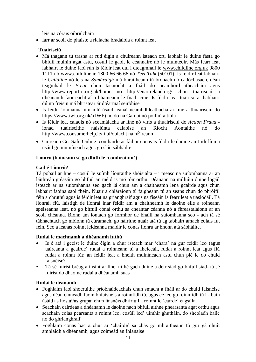leis na córais oibriúchain

Iarr ar scoil do pháiste a rialacha bradaíola a roinnt leat

# **Tuairisciú**

- Má thagann tú trasna ar rud éigin a chuireann isteach ort, labhair le duine fásta go bhfuil muinín agat astu, cosúil le gaol, le ceannaire nó le múinteoir. Más fearr leat labhairt le duine faoi rún is féidir leat dul i dteagmháil le [www.childline.org.uk](http://www.childline.org.uk/) 0800 1111 nó [www.childline.ie](http://www.childline.ie/) 1800 66 66 66 nó *Text Talk* (50101). Is féidir leat labhairt le *Childline* nó leis na *Samáraigh* má bhraitheann tú brónach nó éadóchasach, déan teagmháil le *B-eat* chun tacaíocht a fháil do neamhord itheacháin agus <http://www.report-it.org.uk/home> nó <http://enarireland.org/> chun tuairisciú a dhéanamh faoi eachtraí a bhaineann le fuath cine. Is féidir leat tuairisc a thabhairt dúinn freisin má bhristear ár dtéarmaí seirbhíse
- Is féidir íomhánna um mhí-úsáid leanaí neamhdhleathacha ar líne a thuairisciú do <https://www.iwf.org.uk/> [\(IWF\)](http://www.iwf.org.uk/) nó do na Gardaí nó póilíní áitiúla
- Is féidir leat calaois nó sceamálacha ar líne nó víris a thuairisciú do *[Action Fraud](http://www.actionfraud.org.uk/)* ionad tuairiscithe náisiúnta calaoise an Ríocht Aontaithe nó do <http://www.consumerhelp.ie/> i bPoblacht na hÉireann
- Cuireann [Get Safe Online](http://www.getsafeonline.org.uk/) comhairle ar fáil ar conas is féidir le daoine an t-idirlíon a úsáid go muiníneach agus go slán sábháilte

# **Líonrú (baineann sé go dlúth le 'comhroinnt')**

# **Cad é Líonrú?**

Tá pobail ar líne – cosúil le suímh líonraithe shóisialta – i measc na suíomhanna ar an láithreán gréasáin go bhfuil an méid is mó tóir orthu. Déanann na milliúin duine logáil isteach ar na suíomhanna seo gach lá chun am a chaitheamh lena gcairde agus chun labhairt faoina saol fhéin. Nuair a chláraíonn tú faigheann tú an seans chun do phróifíl féin a chruthú agus is féidir leat na grianghraif agus na físeáin is fearr leat a uaslódáil. Tá líonraí, fiú, laistigh de líonraí inar féidir am a chaitheamh le daoine eile a roineann spéiseanna leat, nó go bhfuil cónaí orthu sa cheantar céanna nó a fhreastalaíonn ar an scoil chéanna. Bíonn am iontach go formhór de bhaill na suíomhanna seo - ach tá sé tábhachtach go mbíonn tú cúramach, go háirithe nuair atá tú ag tabhairt amach eolais fút féin. Seo a leanas roinnt leideanna maidir le conas líonrú ar bhonn atá sábháilte.

# **Rudaí le machnamh a dhéanamh futhú**

- Is é atá i gceist le duine éigin a chur isteach mar 'chara' ná gur féidir leo (agus uaireanta a gcairde) rudaí a roinneann tú a fheiceáil, rudaí a roinnt leat agus fiú rudaí a roinnt fút; an féidir leat a bheith muiníneach astu chun plé le do chuid faisnéise?
- Tá sé fuirist bréag a insint ar líne, ní hé gach duine a deir siad go bhfuil siad- tá sé fuirist do dhaoine rudaí a dhéanamh suas

# **Rudaí le déanamh**

- Foghlaim faoi shocruithe príobháideachais chun smacht a fháil ar do chuid faisnéise agus déan cinneadh faoin bhfaisnéis a roinnfidh tú, agus cé leo go roinnfidh tú í - bain úsáid as liostaí/as grúpaí chun faisnéis dhifriúil a roinnt le 'cairde' éagsúla
- Seachain cairdeas a dhéanamh le daoine nach bhfuil aithne phearsanta agat orthu agus seachain eolas pearsanta a roinnt leo, cosúil led' uimhir ghutháin, do sheoladh baile nó do ghrianghraif
- Foghlaim conas bac a chur ar 'chairde' sa chás go mbraitheann tú gur gá dhuit amhlaidh a dhéanamh, agus coimeád an fhianaise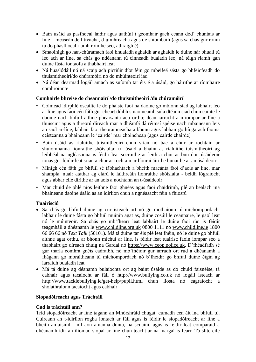- Bain úsáid as pasfhocal láidir agus uathúil i gcomhair gach ceann dod' chuntais ar líne – meascán de litreacha, d'uimhreacha agus de shiombailí (agus sa chás gur roinn tú do phasfhocal riamh roimhe seo, athraigh é)
- Smaoinigh go han-chúramach faoi bhualadh aghaidh ar aghaidh le duine nár bhuail tú leo ach ar líne, sa chás go ndéanann tú cinneadh bualadh leo, ná téigh riamh gan duine fásta iontaofa a thabhairt leat
- Ná huaslódáil nó ná scaip ach pictiúir díot féin go mbeifeá sásta go bhfeicfeadh do thuismitheoirí/do chúramóirí nó do mhúinteoirí iad
- Ná déan dearmad logáil amach as suíomh tar éis é a úsáid, go háirithe ar ríomhaire comhroinnte

# **Comhairle bhreise do cheannairí /do thuismitheoirí /do chúramóirí**

- Coimeád idirphlé oscailte le do pháiste faoi na daoine go mbíonn siad ag labhairt leo ar líne agus faoi cén fáth gur cheart dóibh smaoineamh sula dtéann siad chun cainte le daoine nach bhfuil aithne phearsanta acu orthu; déan iarracht a n-iompar ar líne a thuiscint agus a threorú díreach mar a dhéanfá dá réimsí spéise nach mbaineann leis an saol ar-líne, labhair faoi theorainneacha a bhunú agus labhair go híogarach faoina ceisteanna a bhaineann le 'cairde' mar choincheap (agus cairde chairde)
- Bain úsáid as rialuithe tuismitheoirí chun srian nó bac a chur ar rochtain ar shuíomhanna líonraithe shóisialta; trí úsáid a bhaint as rialuithe tuismitheoirí ag leibhéal na ngléasanna is féidir leat socruithe ar leith a chur ar bun don úsáideoir ionas gur féidir leat srian a chur ar rochtain ar líonraí áirithe bunaithe ar an úsáideoir
- Mínigh cén fáth go bhfuil sé tábhachtach a bheith macánta faoi d'aois ar líne, mar shampla, nuair atáthar ag clárú le láithreáin líonraithe shóisialta - beidh fógraíocht agus ábhar eile dírithe ar an aois a nochtann an t-úsáideoir
- Mar chuid de phlé níos leithne faoi ghnéas agus faoi chaidrimh, plé an bealach ina bhaineann daoine úsáid as an idirlíon chun a ngnéasacht féin a fhiosrú

# **Tuairisciú**

- Sa chás go bhfuil duine ag cur isteach ort nó go mothaíonn tú míchompordach, labhair le duine fásta go bhfuil muinín agat as, duine cosúil le ceannaire, le gaol leat nó le múinteoir. Sa chás go mb'fhearr leat labhairt le duine faoi rún is féidir teagmháil a dhéanamh le www.childline.org.uk 0800 1111 nó www.childline.ie 1800 66 66 66 nó *Text Talk* (50101). Má tá duine tar éis plé leat fhéin, nó le duine go bhfuil aithne agat orthu, ar bhonn míchuí ar líne, is féidir leat tuairisc faoin iompar seo a thabhairt go díreach chuig na Gardaí nó https://www.ceop.police.uk. D'fhéadfadh sé gur tharla comhrá gnéis eadraibh, nó mb'fhéidir gur iarradh ort rud a dhéanamh a fhágann go mbraitheann tú míchompordach nó b'fhéidir go bhfuil duine éigin ag iarraidh bualadh leat
- Má tá duine ag déanamh bulaíochta ort ag baint úsáide as do chuid faisnéise, tá cabhair agus tacaíocht ar fáil ó http://www.bullying.co.uk nó logáil isteach ar http://www.tacklebullying.ie/get-help/pupil.html chun liosta nó eagraíocht a sholáthraíonn tacaíocht agus cabhair.

# **Siopadóireacht agus Tráchtáil**

# **Cad is tráchtáil ann?**

Tríd siopadóireacht ar líne tagann an Mhórshráid chugat, cumadh cén áit ina bhfuil tú. Cuireann an t-idirlíon rogha iontach ar fáil agus is féidir le siopadóireacht ar líne a bheith an-áisiúil - níl aon amanna dúnta, ná scuainí, agus is féidir leat comparáid a dhéanamh idir an iliomad siopaí ar líne chun teacht ar na margaí is fearr. Tá slite eile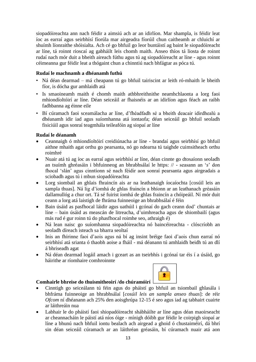siopadóireachta ann nach féidir a aimsiú ach ar an idirlíon. Mar shampla, is féidir leat íoc as earraí agus seirbhísí fíorúla mar airgeadra fíorúil chun caitheamh ar chluichí ar shuímh líonraithe shóisialta. Ach cé go bhfuil go leor buntáistí ag baint le siopadóireacht ar líne, tá roinnt rioscaí ag gabháilt leis chomh maith. Anseo thíos tá liosta de roinnt rudaí nach mór duit a bheith aireach fúthu agus tú ag siopadóireacht ar líne - agus roinnt céimeanna gur féidir leat a thógaint chun a chinntiú nach bhfágtar as póca tú.

# **Rudaí le machnamh a dhéanamh futhú**

- Ná déan dearmad má cheapann tú go bhfuil tairiscint ar leith ró-mhaith le bheith fíor, is dócha gur amhlaidh atá
- Is smaoineamh maith é chomh maith athbhreithnithe neamhchlaonta a lorg faoi mhiondíoltóirí ar líne. Déan seiceáil ar fhaisnéis ar an idirlíon agus féach an raibh fadhbanna ag éinne eile
- Bí cúramach faoi sceamálacha ar líne, d'fhéadfadh sé a bheith deacair idirdhealú a dhéanamh idir iad agus suíomhanna atá iontaofa; déan seiceáil go bhfuil seoladh fisiciúil agus sonraí teagmhála teileafóin ag siopaí ar líne

# **Rudaí le déanamh**

- Ceannaigh ó mhiondíoltóirí creidiúnacha ar líne brandaí agus seirbhísí go bhfuil aithne mhaith agat orthu go pearsanta, nó go ndearna tú taighde cuimsitheach orthu roimhré
- Nuair atá tú ag íoc as earraí agus seirbhísí ar líne, déan cinnte go dtosaíonn seoladh an tsuímh ghréasáin i bhfuinneog an bhrabhsálaí le https: // - seasann an '*s*' don fhocal 'slán' agus cinntíonn sé nach féidir aon sonraí pearsanta agus airgeadais a sciobadh agus tú i mbun siopadóireachta
- Lorg siombail an ghlais fhraincín ais ar na leathanaigh íocaíochta [cosúil leis an sampla thuas]. Ná lig d'íomhá de ghlas fraincín a bhíonn ar an leathanach gréasáin dallamullóg a chur ort. Tá sé fuirist íomhá de ghlas fraincín a chóipeáil. Ní mór duit ceann a lorg atá laistigh de fhráma fuinneoige an bhrabhsálaí é féin
- Bain úsáid as pasfhocal láidir agus uathúil i gcónaí do gach ceann dod' chuntais ar líne – bain úsáid as meascán de litreacha, d'uimhreacha agus de shiombailí (agus más rud é gur roinn tú do phasfhocal roimhe seo, athraigh é)
- Ná lean naisc go suíomhanna siopadóireachta nó baincéireachta clóscríobh an seoladh díreach isteach sa bharra seoltaí
- Inis an fhírinne faoi d'aois agus ná bí ag insint bréige faoi d'aois chun earraí nó seirbhísí atá srianta ó thaobh aoise a fháil - má déanann tú amhlaidh beidh tú an dlí á bhriseadh agat
- Ná déan dearmad logáil amach i gceart as an tseirbhís i gcónaí tar éis í a úsáid, go háirithe ar ríomhaire comhroinnte

# **Comhairle bhreise do thuismitheoirí /do chúramóirí**



- Cinntigh go seiceálann tú féin agus do pháistí go bhfuil an tsiombail ghlasála i bhfráma fuinneoige an bhrabhsálaí [*cosúil leis an sampla anseo thuas*]: de réir *Ofcom* ní dhéanann ach 25% den aoisghrúpa 12-15 é seo agus iad ag tabhairt cuairte ar láithreáin nua
- Labhair le do pháistí faoi shiopadóireacht shábháilte ar líne agus déan maoirseacht ar cheannacháin le páistí atá níos óige - mínigh dóibh gur féidir le coirpigh siopaí ar líne a bhunú nach bhfuil iontu bealach ach airgead a ghoid ó chustaiméirí, dá bhrí sin déan seiceáil cúramach ar an láithréan gréasáin, bí cúramach nuair atá aon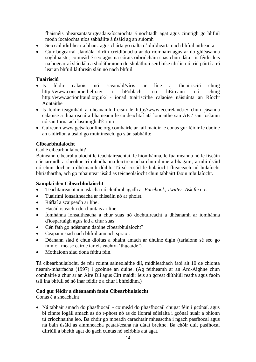fhaisnéis phearsanta/airgeadais/íocaíochta á nochtadh agat agus cinntigh go bhfuil modh íocaíochta níos sábháilte á úsáid ag an suíomh

- Seiceáil idirbhearta bhanc agus chárta go rialta d'idirbhearta nach bhfuil aitheanta
- Cuir bogearraí slándála idirlín creidiúnacha ar do ríomhairí agus ar do ghléasanna soghluaiste; coimeád é seo agus na córais oibriúcháin suas chun dáta - is féidir leis na bogearraí slándála a sholáthraíonn do sholáthraí seirbhíse idirlín nó tríú páirtí a rá leat an bhfuil láithreán slán nó nach bhfuil

# **Tuairisciú**

- Is féidir calaois nó sceamáil/víris ar líne a thuairisciú chuig http://www.consumerhelp.ie/ i bPoblacht na hÉireann nó chuig http://www.actionfraud.org.uk/ - ionad tuairiscithe calaoise náisiúnta an Ríocht Aontaithe
- Is féidir teagmháil a dhéanamh freisin le http://www.eccireland.ie/ chun cásanna calaoise a thuairisciú a bhaineann le cuideachtaí atá lonnaithe san AE / san Íoslainn nó san Iorua ach lasmuigh d'Éirinn
- Cuireann www.getsafeonline.org comhairle ar fáil maidir le conas gur féidir le daoine an t-idirlíon a úsáid go muiníneach, go slán sábháilte

### **Cibearbhulaíocht**

#### Cad é cibearbhulaíocht?

Baineann cibearbhulaíocht le teachtaireachtaí, le híomhánna, le fuaimeanna nó le físeáin nár iarraidh a sheoltar trí mhodhanna leictreonacha chun duine a bhagairt, a mhí-úsáid nó chun dochar a dhéanamh dóibh. Tá sé cosúil le bulaíocht fhisiceach nó bulaíocht bhriathartha, ach go mbaintear úsáid as teicneolaíocht chun tabhairt faoin mbulaíocht.

#### **Samplaí den Cibearbhulaíocht**

- Teachtaireachtaí maslacha nó cleithmhagadh ar *Facebook*, *Twitter*, *Ask.fm* etc.
- Tuairimí ionsaitheacha ar fhíseáin nó ar phoist.
- Ráflaí a scaipeadh ar líne.
- Hacáil isteach i do chuntais ar líne.
- Íomhánna ionsaitheacha a chur suas nó dochtúireacht a dhéanamh ar íomhánna d'íospartaigh agus iad a chur suas
- Cén fáth go ndéanann daoine cibearbhulaíocht?
- Ceapann siad nach bhfuil ann ach spraoi.
- Déanann siad é chun díoltas a bhaint amach ar dhuine éigin (tarlaíonn sé seo go minic i measc cairde tar éis eachtra 'thucaide').
- Mothaíonn siad dona fúthu féin.

Tá cibearbhulaíocht, de réir roinnt saineolaithe dlí, mídhleathach faoi alt 10 de chionta neamh-mharfacha (1997) i gcoinne an duine. (Ag feitheamh ar an Ard-Aighne chun comhairle a chur ar an Aire Dlí agus Cirt maidir leis an gcreat dlíthiúil reatha agus faoin tslí ina bhfuil sé nó inar féidir é a chur i bhfeidhm.)

#### **Cad gur féidir a dhéanamh faoin Cibearbhulaíocht**

Conas é a sheachaint

• Ná tabhair amach do phasfhocail - coimeád do phasfhocail chugat féin i gcónaí, agus bí cinnte logáil amach as do r-phost nó as do líonraí sóisialta i gcónaí nuair a bhíonn tú críochnaithe leo. Ba chóir go mbeadh carachtair mheasctha i ngach pasfhocal agus ná bain úsáid as ainmneacha peataí/ceana ná dátaí breithe. Ba chóir duit pasfhocal difriúil a bheith agat do gach cuntas nó seirbhís atá agat.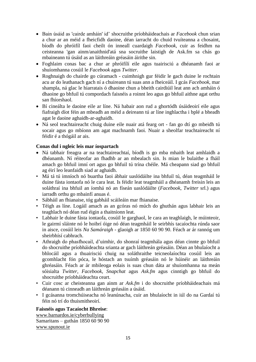- Bain úsáid as 'cairde amháin' id' shocruithe príobháideachais ar *Facebook* chun srian a chur ar an méid a fheicfidh daoine, déan iarracht do chuid tvuíteanna a chosaint, bíodh do phróifíl faoi cheilt ón inneall cuardaigh *Facebook*, cuir as feidhm na ceisteanna 'gan ainm/anaithnid'atá sna socruithe laistigh de Ask.fm sa chás go mbaineann tú úsáid as an láithreáin gréasáin áirithe sin.
- Foghlaim conas bac a chur ar phróifílí eile agus tuairisciú a dhéanamh faoi ar shuíomhanna cosúil le *Facebook* agus *Twitter*.
- Roghnaigh do chairde go cúramach cuimhnigh gur féidir le gach duine le rochtain acu ar do leathanach gach ní a chuireann tú suas ann a fheiceáil. I gcás *Facebook*, mar shampla, ná glac le hiarratais ó dhaoine chun a bheith cairdiúil leat ann ach amháin ó dhaoine go bhfuil tú compordach faisnéis a roinnt leo agus go bhfuil aithne agat orthu san fhíorshaol.
- Bí cineálta le daoine eile ar líne. Ná habair aon rud a ghortódh úsáideoirí eile agus fiafraigh díot féin an mbeadh an méid a deireann tú ar líne inghlactha i bplé a bheadh agat le daoine aghaidh-ar-aghaidh.
- Ná seol teachtaireacht chuig duine eile nuair atá fearg ort fan go dtí go mbeidh tú socair agus go mbíonn am agat machnamh faoi. Nuair a sheolfar teachtaireacht ní féidir é a thógáil ar ais.

### **Conas dul i ngleic leis mar íospartach**

- Ná tabhair freagra ar na teachtaireachtaí, bíodh is go mba mhaith leat amhlaidh a dhéanamh. Ní réiteofar an fhadhb ar an mbealach sin. Is mian le bulaithe a fháil amach go bhfuil imní ort agus go bhfuil tú trína chéile. Má cheapann siad go bhfuil ag éirí leo leanfaidh siad ar aghaidh.
- Má tá tú imníoch nó buartha faoi ábhair uaslódáilte ina bhfuil tú, déan teagmháil le duine fásta iontaofa nó le cara leat. Is féidir leat teagmháil a dhéanamh freisin leis an soláthraí ina bhfuil an íomhá nó an físeán uaslódáilte (*Facebook*, *Twitter* srl.) agus iarradh orthu go mbainfí anuas é.
- Sábháil an fhianaise, tóg gabháil scáileáin mar fhianaise.
- Téigh as líne. Logáil amach as an gcóras nó múch do ghuthán agus labhair leis an teaghlach nó déan rud éigin a thaitníonn leat.
- Labhair le duine fásta iontaofa, cosúil le garghaol, le cara an teaghlaigh, le múinteoir, le gairmí sláinte nó le hoibrí óige nó déan teagmháil le seirbhís tacaíochta rúnda saor in aisce, cosúil leis *Na Samáraigh* - glaoigh ar 1850 60 90 90. Féach ar ár rannóg um sheirbhísí cabhrach.
- Athraigh do phasfhocail, d'uimhir, do shonraí teagmhála agus déan cinnte go bhfuil do shocruithe príobháideachta srianta ar gach láithreán gréasáin. Déan an bhulaíocht a bhlocáil agus a thuairisciú chuig na soláthraithe teicneolaíochta cosúil leis an gcomhlacht fón póca, le hóstach an tsuímh gréasáin nó le húinéir an láithreáin ghréasáin. Féach ar ár mbileoga eolais is suas chun dáta ar shuíomhanna na meán sóisialta *Twitter*, *Facebook*, *Snapchat* agus *Ask.fm* agus cinntigh go bhfuil do shocruithe príobháideachta ceart.
- Cuir cosc ar cheisteanna gan ainm ar *Ask.fm* i do shocruithe príobháideachais má déanann tú cinneadh an láithreán gréasáin a úsáid.
- I gcásanna tromchúiseacha nó leanúnacha, cuir an bhulaíocht in iúl do na Gardaí tú féin nó trí do thuismitheoirí.

#### **Faisnéis agus Tacaíocht Bhreise**:

[www.barnardos.ie/cyberbullying](http://www.barnardos.ie/cyberbullying) Samaritans – guthán 1850 60 90 90 [www.spunout.ie](http://www.spunout.ie/)